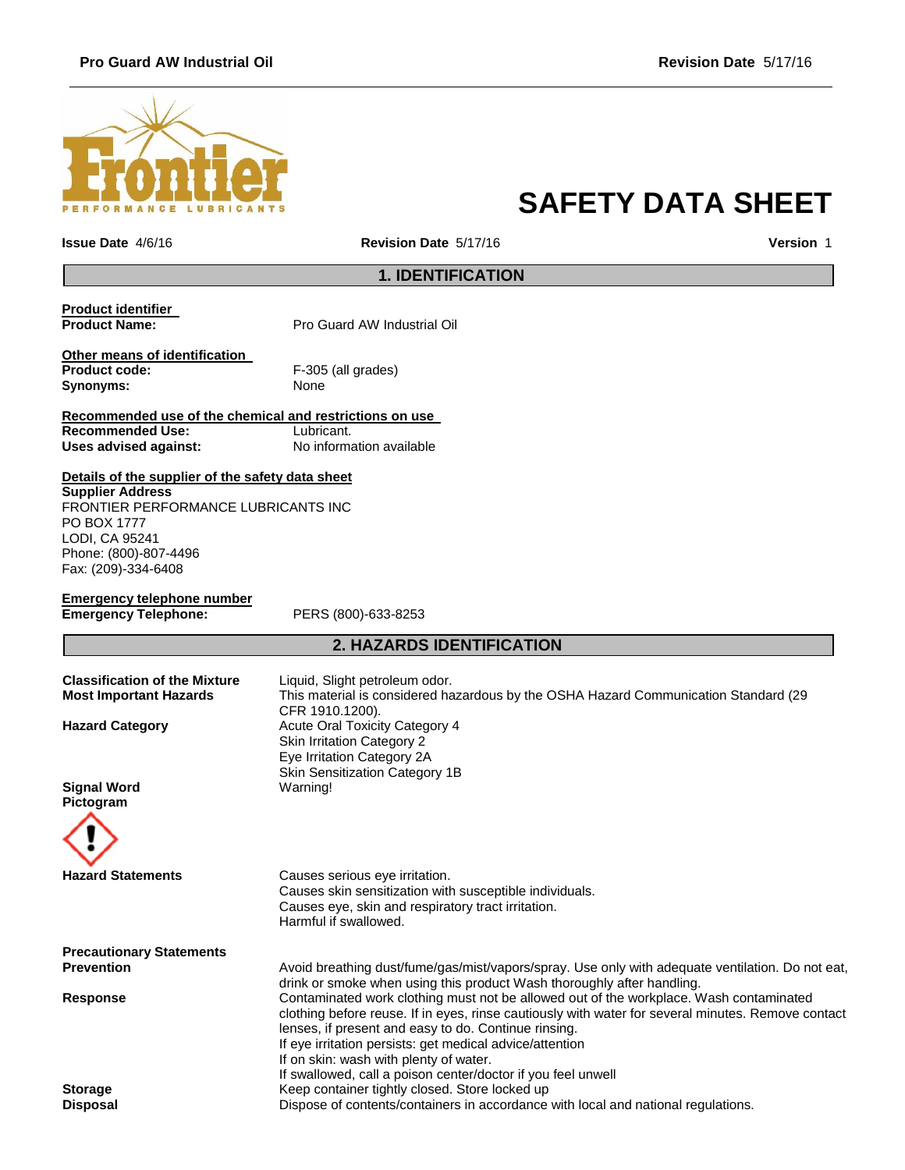## **Pro Guard AW Industrial Oil Revision Date** 5/17/16



# **SAFETY DATA SHEET**

**Issue Date** 4/6/16 **Revision Date** 5/17/16 **Version** 1

## **1. IDENTIFICATION**

**Product identifier Pro Guard AW Industrial Oil** 

**Other means of identification Product code:** F-305 (all grades) Synonyms: None

**Recommended use of the chemical and restrictions on use Recommended Use:**<br>Uses advised against:

**Uses advised against:** No information available

**Details of the supplier of the safety data sheet Supplier Address**

FRONTIER PERFORMANCE LUBRICANTS INC PO BOX 1777 LODI, CA 95241 Phone: (800)-807-4496 Fax: (209)-334-6408

| Emergency telephone number  |  |
|-----------------------------|--|
| <b>Emergency Telephone:</b> |  |

**Emergency Telephone:** PERS (800)-633-8253

# **2. HAZARDS IDENTIFICATION**

| <b>Classification of the Mixture</b><br><b>Most Important Hazards</b> | Liquid, Slight petroleum odor.<br>This material is considered hazardous by the OSHA Hazard Communication Standard (29<br>CFR 1910.1200).                                                                                                                                                                                                                                                                                   |  |
|-----------------------------------------------------------------------|----------------------------------------------------------------------------------------------------------------------------------------------------------------------------------------------------------------------------------------------------------------------------------------------------------------------------------------------------------------------------------------------------------------------------|--|
| <b>Hazard Category</b>                                                | <b>Acute Oral Toxicity Category 4</b><br>Skin Irritation Category 2<br>Eye Irritation Category 2A<br>Skin Sensitization Category 1B                                                                                                                                                                                                                                                                                        |  |
| <b>Signal Word</b><br>Pictogram                                       | Warning!                                                                                                                                                                                                                                                                                                                                                                                                                   |  |
| <b>Hazard Statements</b>                                              | Causes serious eye irritation.<br>Causes skin sensitization with susceptible individuals.<br>Causes eye, skin and respiratory tract irritation.<br>Harmful if swallowed.                                                                                                                                                                                                                                                   |  |
| <b>Precautionary Statements</b>                                       |                                                                                                                                                                                                                                                                                                                                                                                                                            |  |
| <b>Prevention</b>                                                     | Avoid breathing dust/fume/gas/mist/vapors/spray. Use only with adequate ventilation. Do not eat,<br>drink or smoke when using this product Wash thoroughly after handling.                                                                                                                                                                                                                                                 |  |
| <b>Response</b>                                                       | Contaminated work clothing must not be allowed out of the workplace. Wash contaminated<br>clothing before reuse. If in eyes, rinse cautiously with water for several minutes. Remove contact<br>lenses, if present and easy to do. Continue rinsing.<br>If eye irritation persists: get medical advice/attention<br>If on skin: wash with plenty of water.<br>If swallowed, call a poison center/doctor if you feel unwell |  |
| <b>Storage</b>                                                        | Keep container tightly closed. Store locked up                                                                                                                                                                                                                                                                                                                                                                             |  |
| <b>Disposal</b>                                                       | Dispose of contents/containers in accordance with local and national regulations.                                                                                                                                                                                                                                                                                                                                          |  |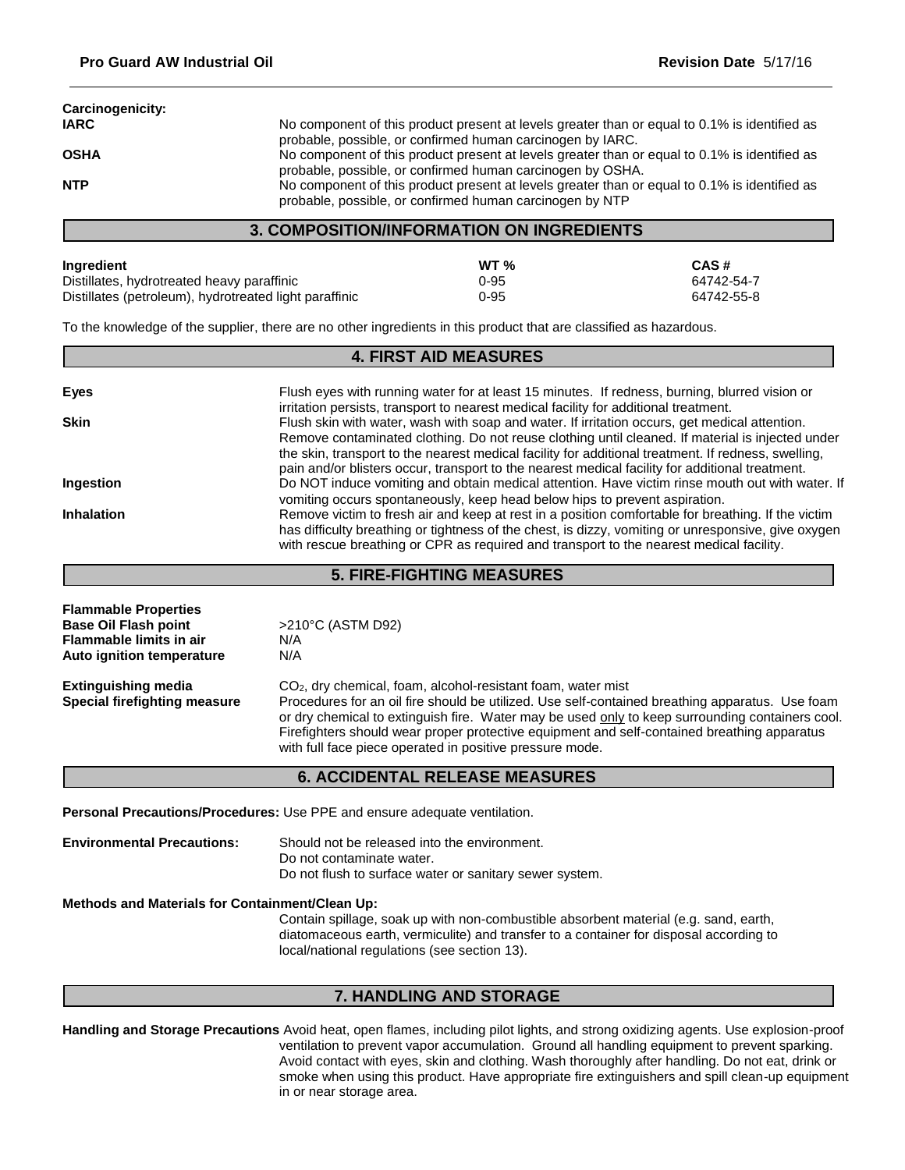| No component of this product present at levels greater than or equal to 0.1% is identified as |
|-----------------------------------------------------------------------------------------------|
| probable, possible, or confirmed human carcinogen by IARC.                                    |
| No component of this product present at levels greater than or equal to 0.1% is identified as |
| probable, possible, or confirmed human carcinogen by OSHA.                                    |
| No component of this product present at levels greater than or equal to 0.1% is identified as |
| probable, possible, or confirmed human carcinogen by NTP                                      |
|                                                                                               |

## **3. COMPOSITION/INFORMATION ON INGREDIENTS**

| Ingredient                                             | WT <sub>96</sub> | CAS#       |
|--------------------------------------------------------|------------------|------------|
| Distillates, hydrotreated heavy paraffinic             | $0 - 95$         | 64742-54-7 |
| Distillates (petroleum), hydrotreated light paraffinic | $0 - 95$         | 64742-55-8 |

To the knowledge of the supplier, there are no other ingredients in this product that are classified as hazardous.

#### **Eyes** Flush eyes with running water for at least 15 minutes. If redness, burning, blurred vision or irritation persists, transport to nearest medical facility for additional treatment. **Skin** Flush skin with water, wash with soap and water. If irritation occurs, get medical attention. Remove contaminated clothing. Do not reuse clothing until cleaned. If material is injected under the skin, transport to the nearest medical facility for additional treatment. If redness, swelling, pain and/or blisters occur, transport to the nearest medical facility for additional treatment. **Ingestion** Do NOT induce vomiting and obtain medical attention. Have victim rinse mouth out with water. If vomiting occurs spontaneously, keep head below hips to prevent aspiration. **Inhalation** Remove victim to fresh air and keep at rest in a position comfortable for breathing. If the victim has difficulty breathing or tightness of the chest, is dizzy, vomiting or unresponsive, give oxygen with rescue breathing or CPR as required and transport to the nearest medical facility. **4. FIRST AID MEASURES**

## **5. FIRE-FIGHTING MEASURES**

| <b>Flammable Properties</b><br><b>Base Oil Flash point</b>        | >210°C (ASTM D92)                                                                                                                                                                                                                                                                                                                                             |
|-------------------------------------------------------------------|---------------------------------------------------------------------------------------------------------------------------------------------------------------------------------------------------------------------------------------------------------------------------------------------------------------------------------------------------------------|
|                                                                   |                                                                                                                                                                                                                                                                                                                                                               |
| <b>Flammable limits in air</b>                                    | N/A                                                                                                                                                                                                                                                                                                                                                           |
| Auto ignition temperature                                         | N/A                                                                                                                                                                                                                                                                                                                                                           |
| <b>Extinguishing media</b><br><b>Special firefighting measure</b> | CO <sub>2</sub> , dry chemical, foam, alcohol-resistant foam, water mist                                                                                                                                                                                                                                                                                      |
|                                                                   | Procedures for an oil fire should be utilized. Use self-contained breathing apparatus. Use foam<br>or dry chemical to extinguish fire. Water may be used only to keep surrounding containers cool.<br>Firefighters should wear proper protective equipment and self-contained breathing apparatus<br>with full face piece operated in positive pressure mode. |
|                                                                   | <b>6. ACCIDENTAL RELEASE MEASURES</b>                                                                                                                                                                                                                                                                                                                         |

**Personal Precautions/Procedures:** Use PPE and ensure adequate ventilation.

**Environmental Precautions:** Should not be released into the environment. Do not contaminate water. Do not flush to surface water or sanitary sewer system.

**Methods and Materials for Containment/Clean Up:**

Contain spillage, soak up with non-combustible absorbent material (e.g. sand, earth, diatomaceous earth, vermiculite) and transfer to a container for disposal according to local/national regulations (see section 13).

#### **7. HANDLING AND STORAGE**

**Handling and Storage Precautions** Avoid heat, open flames, including pilot lights, and strong oxidizing agents. Use explosion-proof ventilation to prevent vapor accumulation. Ground all handling equipment to prevent sparking. Avoid contact with eyes, skin and clothing. Wash thoroughly after handling. Do not eat, drink or smoke when using this product. Have appropriate fire extinguishers and spill clean-up equipment in or near storage area.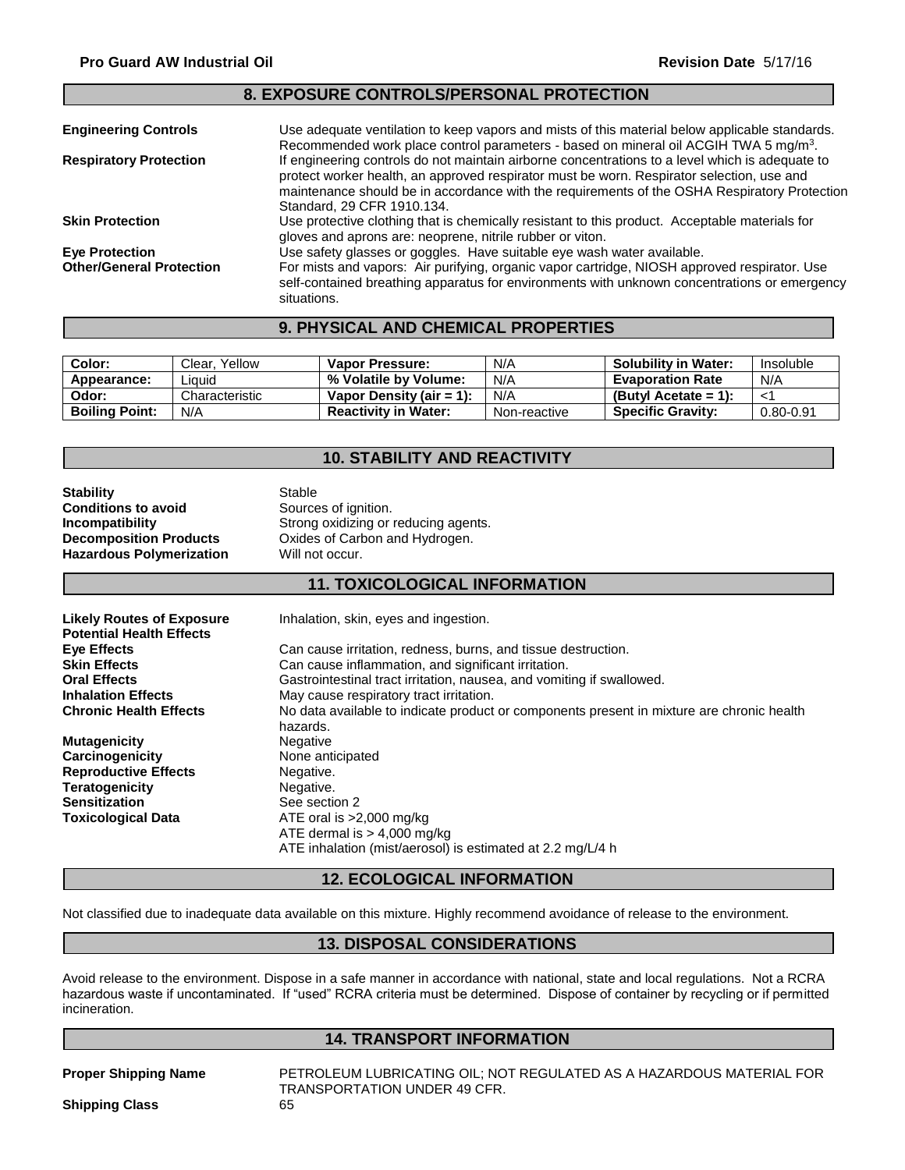#### **Engineering Controls** Use adequate ventilation to keep vapors and mists of this material below applicable standards. Recommended work place control parameters - based on mineral oil ACGIH TWA 5 mg/m<sup>3</sup>. **Respiratory Protection** If engineering controls do not maintain airborne concentrations to a level which is adequate to protect worker health, an approved respirator must be worn. Respirator selection, use and maintenance should be in accordance with the requirements of the OSHA Respiratory Protection Standard, 29 CFR 1910.134. **Skin Protection** Use protective clothing that is chemically resistant to this product. Acceptable materials for gloves and aprons are: neoprene, nitrile rubber or viton. **Eye Protection** Use safety glasses or goggles. Have suitable eye wash water available.<br> **Other/General Protection** For mists and vapors: Air purifying, organic vapor cartridge, NIOSH appr For mists and vapors: Air purifying, organic vapor cartridge, NIOSH approved respirator. Use self-contained breathing apparatus for environments with unknown concentrations or emergency situations. **8. EXPOSURE CONTROLS/PERSONAL PROTECTION**

#### **9. PHYSICAL AND CHEMICAL PROPERTIES**

| Color:                | Clear, Yellow  | <b>Vapor Pressure:</b>      | N/A          | <b>Solubility in Water:</b> | Insoluble     |
|-----------------------|----------------|-----------------------------|--------------|-----------------------------|---------------|
| Appearance:           | Liauid         | % Volatile by Volume:       | N/A          | <b>Evaporation Rate</b>     | N/A           |
| Odor:                 | Characteristic | Vapor Density (air = 1):    | N/A          | (Butyl Acetate = 1):        |               |
| <b>Boiling Point:</b> | N/A            | <b>Reactivity in Water:</b> | Non-reactive | <b>Specific Gravity:</b>    | $0.80 - 0.91$ |

## **10. STABILITY AND REACTIVITY**

| Stability                       | Stable                               |
|---------------------------------|--------------------------------------|
| Conditions to avoid             | Sources of ignition.                 |
| Incompatibility                 | Strong oxidizing or reducing agents. |
| <b>Decomposition Products</b>   | Oxides of Carbon and Hydrogen.       |
| <b>Hazardous Polymerization</b> | Will not occur.                      |
|                                 |                                      |

#### **11. TOXICOLOGICAL INFORMATION**

| <b>Likely Routes of Exposure</b><br><b>Potential Health Effects</b> | Inhalation, skin, eyes and ingestion.                                                                 |
|---------------------------------------------------------------------|-------------------------------------------------------------------------------------------------------|
| Eye Effects                                                         | Can cause irritation, redness, burns, and tissue destruction.                                         |
| <b>Skin Effects</b>                                                 | Can cause inflammation, and significant irritation.                                                   |
| <b>Oral Effects</b>                                                 | Gastrointestinal tract irritation, nausea, and vomiting if swallowed.                                 |
| <b>Inhalation Effects</b>                                           | May cause respiratory tract irritation.                                                               |
| <b>Chronic Health Effects</b>                                       | No data available to indicate product or components present in mixture are chronic health<br>hazards. |
| <b>Mutagenicity</b>                                                 | Negative                                                                                              |
| Carcinogenicity                                                     | None anticipated                                                                                      |
| <b>Reproductive Effects</b>                                         | Negative.                                                                                             |
| <b>Teratogenicity</b>                                               | Negative.                                                                                             |
| <b>Sensitization</b>                                                | See section 2                                                                                         |
| <b>Toxicological Data</b>                                           | ATE oral is $>2,000$ mg/kg                                                                            |
|                                                                     | ATE dermal is $> 4,000$ mg/kg                                                                         |
|                                                                     | ATE inhalation (mist/aerosol) is estimated at 2.2 mg/L/4 h                                            |

#### **12. ECOLOGICAL INFORMATION**

Not classified due to inadequate data available on this mixture. Highly recommend avoidance of release to the environment.

#### **13. DISPOSAL CONSIDERATIONS**

Avoid release to the environment. Dispose in a safe manner in accordance with national, state and local regulations. Not a RCRA hazardous waste if uncontaminated. If "used" RCRA criteria must be determined. Dispose of container by recycling or if permitted incineration.

#### **14. TRANSPORT INFORMATION**

**Proper Shipping Name** PETROLEUM LUBRICATING OIL; NOT REGULATED AS A HAZARDOUS MATERIAL FOR TRANSPORTATION UNDER 49 CFR.

**Shipping Class** 65